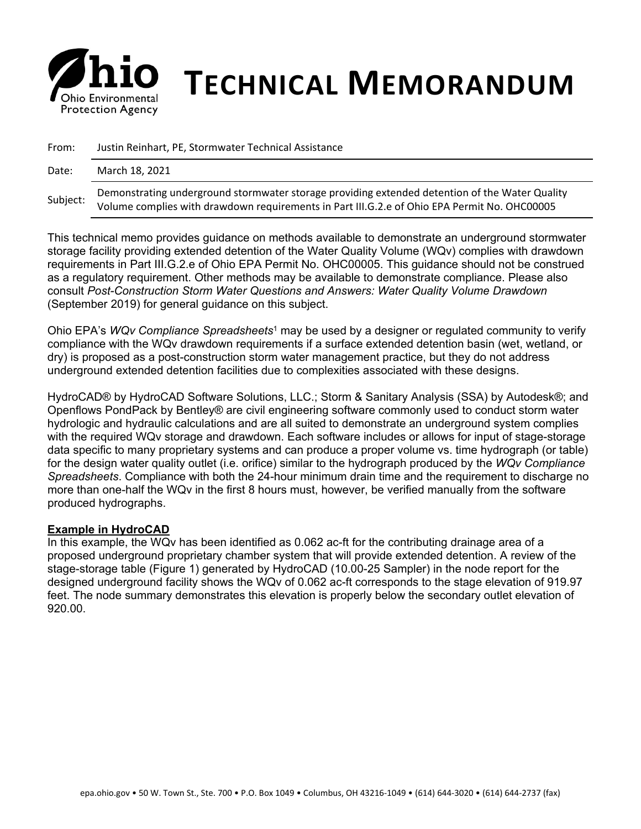

# *S* **his Environmental <b>TECHNICAL MEMORANDUM**

| From:    | Justin Reinhart, PE, Stormwater Technical Assistance                                                                                                                                           |  |
|----------|------------------------------------------------------------------------------------------------------------------------------------------------------------------------------------------------|--|
| Date:    | March 18, 2021                                                                                                                                                                                 |  |
| Subject: | Demonstrating underground stormwater storage providing extended detention of the Water Quality<br>Volume complies with drawdown requirements in Part III.G.2.e of Ohio EPA Permit No. OHC00005 |  |

This technical memo provides guidance on methods available to demonstrate an underground stormwater storage facility providing extended detention of the Water Quality Volume (WQv) complies with drawdown requirements in Part III.G.2.e of Ohio EPA Permit No. OHC00005. This guidance should not be construed as a regulatory requirement. Other methods may be available to demonstrate compliance. Please also consult *Post-Construction Storm Water Questions and Answers: Water Quality Volume Drawdown*  (September 2019) for general guidance on this subject.

Ohio EPA's *WQv Compliance Spreadsheets*<sup>1</sup> may be used by a designer or regulated community to verify compliance with the WQv drawdown requirements if a surface extended detention basin (wet, wetland, or dry) is proposed as a post-construction storm water management practice, but they do not address underground extended detention facilities due to complexities associated with these designs.

HydroCAD® by HydroCAD Software Solutions, LLC.; Storm & Sanitary Analysis (SSA) by Autodesk®; and Openflows PondPack by Bentley® are civil engineering software commonly used to conduct storm water hydrologic and hydraulic calculations and are all suited to demonstrate an underground system complies with the required WQv storage and drawdown. Each software includes or allows for input of stage-storage data specific to many proprietary systems and can produce a proper volume vs. time hydrograph (or table) for the design water quality outlet (i.e. orifice) similar to the hydrograph produced by the *WQv Compliance Spreadsheets*. Compliance with both the 24-hour minimum drain time and the requirement to discharge no more than one-half the WQv in the first 8 hours must, however, be verified manually from the software produced hydrographs.

### **Example in HydroCAD**

In this example, the WQv has been identified as 0.062 ac-ft for the contributing drainage area of a proposed underground proprietary chamber system that will provide extended detention. A review of the stage-storage table (Figure 1) generated by HydroCAD (10.00-25 Sampler) in the node report for the designed underground facility shows the WQv of 0.062 ac-ft corresponds to the stage elevation of 919.97 feet. The node summary demonstrates this elevation is properly below the secondary outlet elevation of 920.00.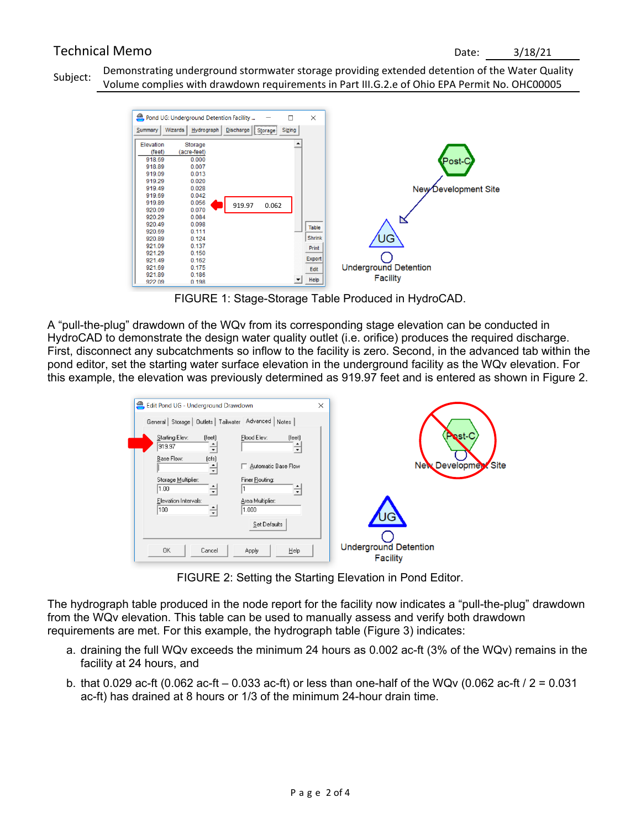# Technical Memo Date: 3/18/21

Subject: Demonstrating underground stormwater storage providing extended detention of the Water Quality Volume complies with drawdown requirements in Part III.G.2.e of Ohio EPA Permit No. OHC00005



FIGURE 1: Stage-Storage Table Produced in HydroCAD.

A "pull-the-plug" drawdown of the WQv from its corresponding stage elevation can be conducted in HydroCAD to demonstrate the design water quality outlet (i.e. orifice) produces the required discharge. First, disconnect any subcatchments so inflow to the facility is zero. Second, in the advanced tab within the pond editor, set the starting water surface elevation in the underground facility as the WQv elevation. For this example, the elevation was previously determined as 919.97 feet and is entered as shown in Figure 2.

| Edit Pond UG - Underground Drawdown                                                                                                                                                                         | $\times$                                                       |                                                 |
|-------------------------------------------------------------------------------------------------------------------------------------------------------------------------------------------------------------|----------------------------------------------------------------|-------------------------------------------------|
| General Storage   Outlets   Tailwater Advanced   Notes<br>Starting Elev:<br>[feet]<br>919.97<br>$\blacktriangledown$<br>Base Flow:<br>[cfs]<br>÷<br>Storage Multiplier:<br>1.00<br>$\overline{\phantom{a}}$ | Flood Elev:<br>(feet)<br>Automatic Base Flow<br>Finer Routing: | <b>Nest-C</b><br>New Development Site           |
| Elevation Intervals:<br>100<br>1.000<br>$\overline{\phantom{a}}$<br>OK.<br>Cancel<br>Apply                                                                                                                  | Area Multiplier:<br>Set Defaults<br>Help                       | <b>Underground Detention</b><br><b>Facility</b> |

FIGURE 2: Setting the Starting Elevation in Pond Editor.

The hydrograph table produced in the node report for the facility now indicates a "pull-the-plug" drawdown from the WQv elevation. This table can be used to manually assess and verify both drawdown requirements are met. For this example, the hydrograph table (Figure 3) indicates:

- a. draining the full WQv exceeds the minimum 24 hours as 0.002 ac-ft (3% of the WQv) remains in the facility at 24 hours, and
- b. that 0.029 ac-ft (0.062 ac-ft 0.033 ac-ft) or less than one-half of the WQv (0.062 ac-ft /  $2 = 0.031$ ac-ft) has drained at 8 hours or 1/3 of the minimum 24-hour drain time.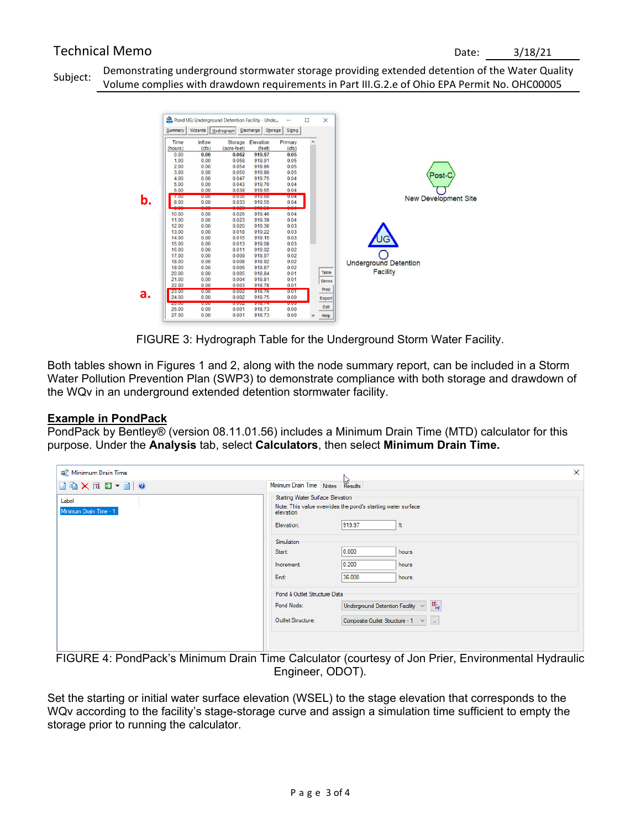# Technical Memo Date: 3/18/21

Subject: Demonstrating underground stormwater storage providing extended detention of the Water Quality Volume complies with drawdown requirements in Part III.G.2.e of Ohio EPA Permit No. OHC00005



FIGURE 3: Hydrograph Table for the Underground Storm Water Facility.

Both tables shown in Figures 1 and 2, along with the node summary report, can be included in a Storm Water Pollution Prevention Plan (SWP3) to demonstrate compliance with both storage and drawdown of the WQv in an underground extended detention stormwater facility.

### **Example in PondPack**

PondPack by Bentley® (version 08.11.01.56) includes a Minimum Drain Time (MTD) calculator for this purpose. Under the **Analysis** tab, select **Calculators**, then select **Minimum Drain Time.**

| <del>■</del> Minimum Drain Time                                                                                                                                                                                                                                                                                                                                                                                                             | $\times$                                                                                                      |
|---------------------------------------------------------------------------------------------------------------------------------------------------------------------------------------------------------------------------------------------------------------------------------------------------------------------------------------------------------------------------------------------------------------------------------------------|---------------------------------------------------------------------------------------------------------------|
| $\begin{array}{ c c c c c }\hline \multicolumn{1}{ c }{\textbf{a}} & \multicolumn{1}{ c }{\textbf{a}} & \multicolumn{1}{ c }{\textbf{b}} & \multicolumn{1}{ c }{\textbf{c}} & \multicolumn{1}{ c }{\textbf{a}} & \multicolumn{1}{ c }{\textbf{b}} & \multicolumn{1}{ c }{\textbf{c}} & \multicolumn{1}{ c }{\textbf{a}} & \multicolumn{1}{ c }{\textbf{b}} & \multicolumn{1}{ c }{\textbf{c}} & \multicolumn{1}{ c }{\textbf{c}} & \multic$ | Minimum Drain Time Notes Results                                                                              |
| Label<br>Minimum Drain Time - 1                                                                                                                                                                                                                                                                                                                                                                                                             | Starting Water Surface Elevation<br>Note: This value overrides the pond's starting water surface<br>elevation |
|                                                                                                                                                                                                                                                                                                                                                                                                                                             | 919.97<br>ft<br>Elevation:<br>Simulation                                                                      |
|                                                                                                                                                                                                                                                                                                                                                                                                                                             | 0.000<br>Start:<br>hours                                                                                      |
|                                                                                                                                                                                                                                                                                                                                                                                                                                             | 0.200 <br>Increment:<br>hours<br>36.000<br>End:<br>hours                                                      |
|                                                                                                                                                                                                                                                                                                                                                                                                                                             | Pond & Outlet Structure Data                                                                                  |
|                                                                                                                                                                                                                                                                                                                                                                                                                                             | $\overline{\mathfrak{n}}_{\mathbf{k}}$<br>Underground Detention Facility $\vert \vee \vert$<br>Pond Node:     |
|                                                                                                                                                                                                                                                                                                                                                                                                                                             | Outlet Structure:<br>Composite Outlet Structure - 1 $\vee$   _                                                |
|                                                                                                                                                                                                                                                                                                                                                                                                                                             |                                                                                                               |

FIGURE 4: PondPack's Minimum Drain Time Calculator (courtesy of Jon Prier, Environmental Hydraulic Engineer, ODOT).

Set the starting or initial water surface elevation (WSEL) to the stage elevation that corresponds to the WQv according to the facility's stage-storage curve and assign a simulation time sufficient to empty the storage prior to running the calculator.